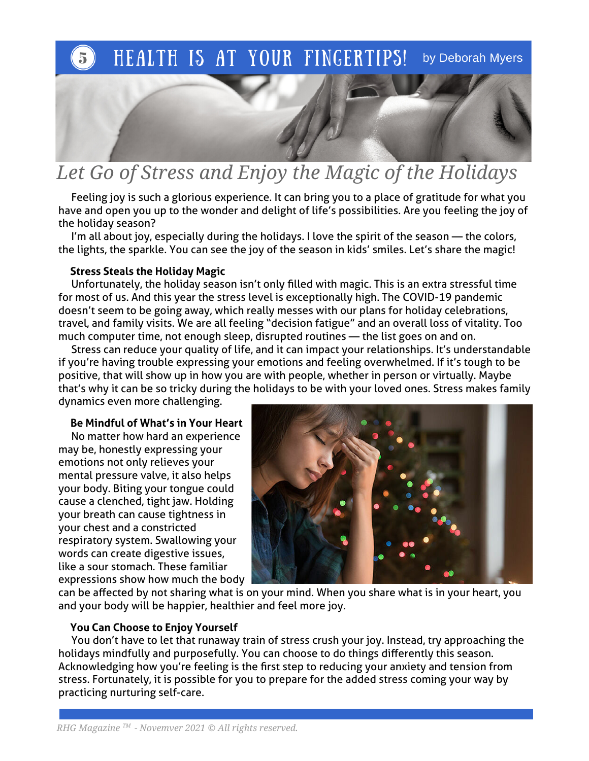# HEALTH IS AT YOUR FINGERTIPS! by Deborah Myers

# Let Go of Stress and Enjoy the Magic of the Holidays

 Feeling joy is such a glorious experience. It can bring you to a place of gratitude for what you have and open you up to the wonder and delight of life's possibilities. Are you feeling the joy of the holiday season?

 I'm all about joy, especially during the holidays. I love the spirit of the season — the colors, the lights, the sparkle. You can see the joy of the season in kids' smiles. Let's share the magic!

#### Stress Steals the Holiday Magic

 Unfortunately, the holiday season isn't only flled with magic. This is an extra stressful time for most of us. And this year the stress level is exceptionally high. The COVID-19 pandemic doesn't seem to be going away, which really messes with our plans for holiday celebrations, travel, and family visits. We are all feeling "decision fatigue" and an overall loss of vitality. Too much computer time, not enough sleep, disrupted routines — the list goes on and on.

 Stress can reduce your quality of life, and it can impact your relationships. It's understandable if you're having trouble expressing your emotions and feeling overwhelmed. If it's tough to be positive, that will show up in how you are with people, whether in person or virtually. Maybe that's why it can be so tricky during the holidays to be with your loved ones. Stress makes family

dynamics even more challenging.

#### Be Mindful of What's in Your Heart

 No matter how hard an experience may be, honestly expressing your emotions not only relieves your mental pressure valve, it also helps your body. Biting your tongue could cause a clenched, tight jaw. Holding your breath can cause tightness in your chest and a constricted respiratory system. Swallowing your words can create digestive issues, like a sour stomach. These familiar expressions show how much the body



can be afected by not sharing what is on your mind. When you share what is in your heart, you and your body will be happier, healthier and feel more joy.

#### You Can Choose to Enjoy Yourself

 You don't have to let that runaway train of stress crush your joy. Instead, try approaching the holidays mindfully and purposefully. You can choose to do things diferently this season. Acknowledging how you're feeling is the frst step to reducing your anxiety and tension from stress. Fortunately, it is possible for you to prepare for the added stress coming your way by practicing nurturing self-care.